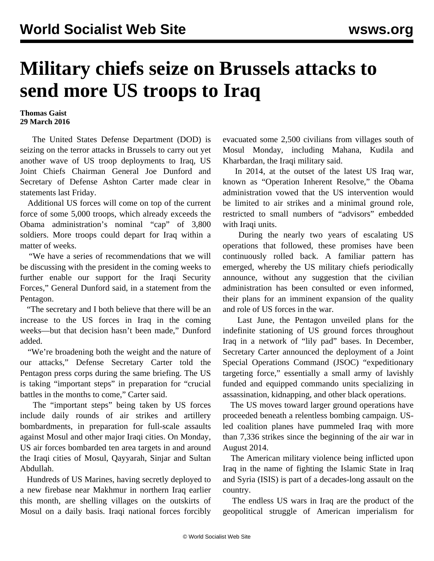## **Military chiefs seize on Brussels attacks to send more US troops to Iraq**

## **Thomas Gaist 29 March 2016**

 The United States Defense Department (DOD) is seizing on the terror attacks in Brussels to carry out yet another wave of US troop deployments to Iraq, US Joint Chiefs Chairman General Joe Dunford and Secretary of Defense Ashton Carter made clear in statements last Friday.

 Additional US forces will come on top of the current force of some 5,000 troops, which already exceeds the Obama administration's nominal "cap" of 3,800 soldiers. More troops could depart for Iraq within a matter of weeks.

 "We have a series of recommendations that we will be discussing with the president in the coming weeks to further enable our support for the Iraqi Security Forces," General Dunford said, in a statement from the Pentagon.

 "The secretary and I both believe that there will be an increase to the US forces in Iraq in the coming weeks—but that decision hasn't been made," Dunford added.

 "We're broadening both the weight and the nature of our attacks," Defense Secretary Carter told the Pentagon press corps during the same briefing. The US is taking "important steps" in preparation for "crucial battles in the months to come," Carter said.

 The "important steps" being taken by US forces include daily rounds of air strikes and artillery bombardments, in preparation for full-scale assaults against Mosul and other major Iraqi cities. On Monday, US air forces bombarded ten area targets in and around the Iraqi cities of Mosul, Qayyarah, Sinjar and Sultan Abdullah.

 Hundreds of US Marines, having secretly deployed to a new firebase near Makhmur in northern Iraq earlier this month, are shelling villages on the outskirts of Mosul on a daily basis. Iraqi national forces forcibly evacuated some 2,500 civilians from villages south of Mosul Monday, including Mahana, Kudila and Kharbardan, the Iraqi military said.

 In 2014, at the outset of the latest US Iraq war, known as "Operation Inherent Resolve," the Obama administration vowed that the US intervention would be limited to air strikes and a minimal ground role, restricted to small numbers of "advisors" embedded with Iraqi units.

 During the nearly two years of escalating US operations that followed, these promises have been continuously rolled back. A familiar pattern has emerged, whereby the US military chiefs periodically announce, without any suggestion that the civilian administration has been consulted or even informed, their plans for an imminent expansion of the quality and role of US forces in the war.

 Last June, the Pentagon unveiled plans for the indefinite stationing of US ground forces throughout Iraq in a network of "lily pad" bases. In December, Secretary Carter announced the deployment of a Joint Special Operations Command (JSOC) "expeditionary targeting force," essentially a small army of lavishly funded and equipped commando units specializing in assassination, kidnapping, and other black operations.

 The US moves toward larger ground operations have proceeded beneath a relentless bombing campaign. USled coalition planes have pummeled Iraq with more than 7,336 strikes since the beginning of the air war in August 2014.

 The American military violence being inflicted upon Iraq in the name of fighting the Islamic State in Iraq and Syria (ISIS) is part of a decades-long assault on the country.

 The endless US wars in Iraq are the product of the geopolitical struggle of American imperialism for